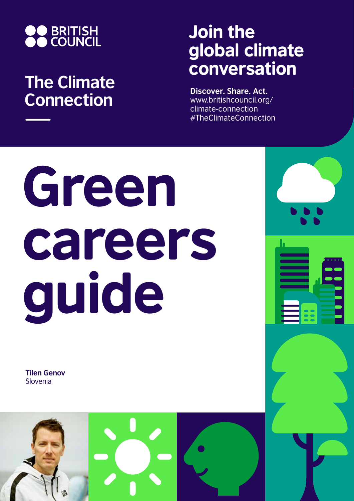

## **The Climate Connection**

## Join the global climate conversation

**Discover. Share. Act.** www.britishcouncil.org/ climate-connection #TheClimateConnection

# Green careers guide

**Tilen Genov** Slovenia

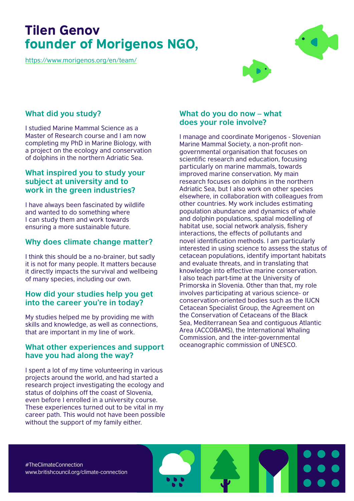### Tilen Genov founder of Morigenos NGO,

https://www.morigenos.org/en/team/



#### **What did you study?**

I studied Marine Mammal Science as a Master of Research course and I am now completing my PhD in Marine Biology, with a project on the ecology and conservation of dolphins in the northern Adriatic Sea.

#### **What inspired you to study your subject at university and to work in the green industries?**

I have always been fascinated by wildlife and wanted to do something where I can study them and work towards ensuring a more sustainable future.

#### **Why does climate change matter?**

I think this should be a no-brainer, but sadly it is not for many people. It matters because it directly impacts the survival and wellbeing of many species, including our own.

#### **How did your studies help you get into the career you're in today?**

My studies helped me by providing me with skills and knowledge, as well as connections, that are important in my line of work.

#### **What other experiences and support have you had along the way?**

I spent a lot of my time volunteering in various projects around the world, and had started a research project investigating the ecology and status of dolphins off the coast of Slovenia, even before I enrolled in a university course. These experiences turned out to be vital in my career path. This would not have been possible without the support of my family either.

#### **What do you do now – what does your role involve?**

I manage and coordinate Morigenos - Slovenian Marine Mammal Society, a non-profit nongovernmental organisation that focuses on scientific research and education, focusing particularly on marine mammals, towards improved marine conservation. My main research focuses on dolphins in the northern Adriatic Sea, but I also work on other species elsewhere, in collaboration with colleagues from other countries. My work includes estimating population abundance and dynamics of whale and dolphin populations, spatial modelling of habitat use, social network analysis, fishery interactions, the effects of pollutants and novel identification methods. I am particularly interested in using science to assess the status of cetacean populations, identify important habitats and evaluate threats, and in translating that knowledge into effective marine conservation. I also teach part-time at the University of Primorska in Slovenia. Other than that, my role involves participating at various science- or conservation-oriented bodies such as the IUCN Cetacean Specialist Group, the Agreement on the Conservation of Cetaceans of the Black Sea, Mediterranean Sea and contiguous Atlantic Area (ACCOBAMS), the International Whaling Commission, and the inter-governmental oceanographic commission of UNESCO.